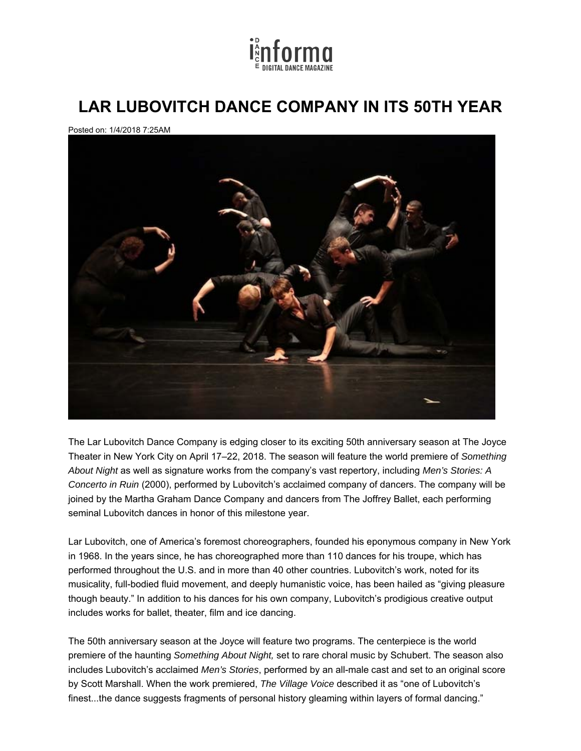

## **LAR LUBOVITCH DANCE COMPANY IN ITS 50TH YEAR**

Posted on: 1/4/2018 7:25AM



The Lar Lubovitch Dance Company is edging closer to its exciting 50th anniversary season at The Joyce Theater in New York City on April 17–22, 2018. The season will feature the world premiere of *Something About Night* as well as signature works from the company's vast repertory, including *Men's Stories: A Concerto in Ruin* (2000), performed by Lubovitch's acclaimed company of dancers. The company will be joined by the Martha Graham Dance Company and dancers from The Joffrey Ballet, each performing seminal Lubovitch dances in honor of this milestone year.

Lar Lubovitch, one of America's foremost choreographers, founded his eponymous company in New York in 1968. In the years since, he has choreographed more than 110 dances for his troupe, which has performed throughout the U.S. and in more than 40 other countries. Lubovitch's work, noted for its musicality, full-bodied fluid movement, and deeply humanistic voice, has been hailed as "giving pleasure though beauty." In addition to his dances for his own company, Lubovitch's prodigious creative output includes works for ballet, theater, film and ice dancing.

The 50th anniversary season at the Joyce will feature two programs. The centerpiece is the world premiere of the haunting *Something About Night,* set to rare choral music by Schubert. The season also includes Lubovitch's acclaimed *Men's Stories*, performed by an all-male cast and set to an original score by Scott Marshall. When the work premiered, *The Village Voice* described it as "one of Lubovitch's finest...the dance suggests fragments of personal history gleaming within layers of formal dancing."